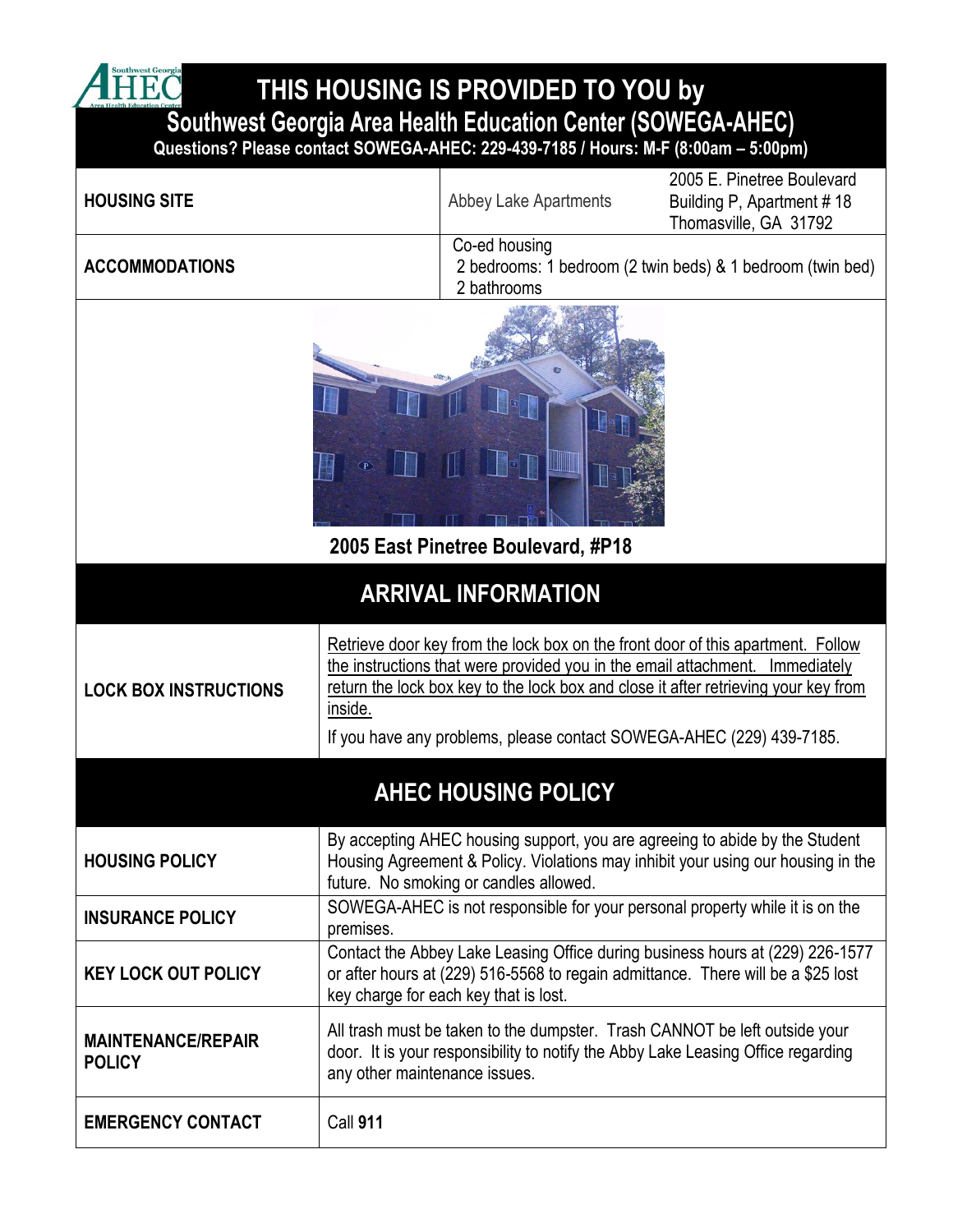**THIS HOUSING IS PROVIDED TO YOU by** 

**Southwest Georgia Area Health Education Center (SOWEGA-AHEC)**

A HEC

**Questions? Please contact SOWEGA-AHEC: 229-439-7185 / Hours: M-F (8:00am – 5:00pm)**

| <b>HOUSING SITE</b>                        |                                                                                                                                                                                                            | <b>Abbey Lake Apartments</b>                                                                                                                                   | 2005 E. Pinetree Boulevard<br>Building P, Apartment #18                                                                                                                |  |
|--------------------------------------------|------------------------------------------------------------------------------------------------------------------------------------------------------------------------------------------------------------|----------------------------------------------------------------------------------------------------------------------------------------------------------------|------------------------------------------------------------------------------------------------------------------------------------------------------------------------|--|
|                                            |                                                                                                                                                                                                            |                                                                                                                                                                | Thomasville, GA 31792                                                                                                                                                  |  |
| <b>ACCOMMODATIONS</b>                      |                                                                                                                                                                                                            | Co-ed housing<br>2 bedrooms: 1 bedroom (2 twin beds) & 1 bedroom (twin bed)<br>2 bathrooms                                                                     |                                                                                                                                                                        |  |
| 2005 East Pinetree Boulevard, #P18         |                                                                                                                                                                                                            |                                                                                                                                                                |                                                                                                                                                                        |  |
| <b>ARRIVAL INFORMATION</b>                 |                                                                                                                                                                                                            |                                                                                                                                                                |                                                                                                                                                                        |  |
| <b>LOCK BOX INSTRUCTIONS</b>               | inside.                                                                                                                                                                                                    | the instructions that were provided you in the email attachment. Immediately<br>If you have any problems, please contact SOWEGA-AHEC (229) 439-7185.           | Retrieve door key from the lock box on the front door of this apartment. Follow<br>return the lock box key to the lock box and close it after retrieving your key from |  |
| <b>AHEC HOUSING POLICY</b>                 |                                                                                                                                                                                                            |                                                                                                                                                                |                                                                                                                                                                        |  |
| <b>HOUSING POLICY</b>                      |                                                                                                                                                                                                            | future. No smoking or candles allowed.                                                                                                                         | By accepting AHEC housing support, you are agreeing to abide by the Student<br>Housing Agreement & Policy. Violations may inhibit your using our housing in the        |  |
| <b>INSURANCE POLICY</b>                    | premises.                                                                                                                                                                                                  |                                                                                                                                                                | SOWEGA-AHEC is not responsible for your personal property while it is on the                                                                                           |  |
| <b>KEY LOCK OUT POLICY</b>                 | Contact the Abbey Lake Leasing Office during business hours at (229) 226-1577<br>or after hours at (229) 516-5568 to regain admittance. There will be a \$25 lost<br>key charge for each key that is lost. |                                                                                                                                                                |                                                                                                                                                                        |  |
| <b>MAINTENANCE/REPAIR</b><br><b>POLICY</b> | any other maintenance issues.                                                                                                                                                                              | All trash must be taken to the dumpster. Trash CANNOT be left outside your<br>door. It is your responsibility to notify the Abby Lake Leasing Office regarding |                                                                                                                                                                        |  |
| <b>EMERGENCY CONTACT</b>                   | Call 911                                                                                                                                                                                                   |                                                                                                                                                                |                                                                                                                                                                        |  |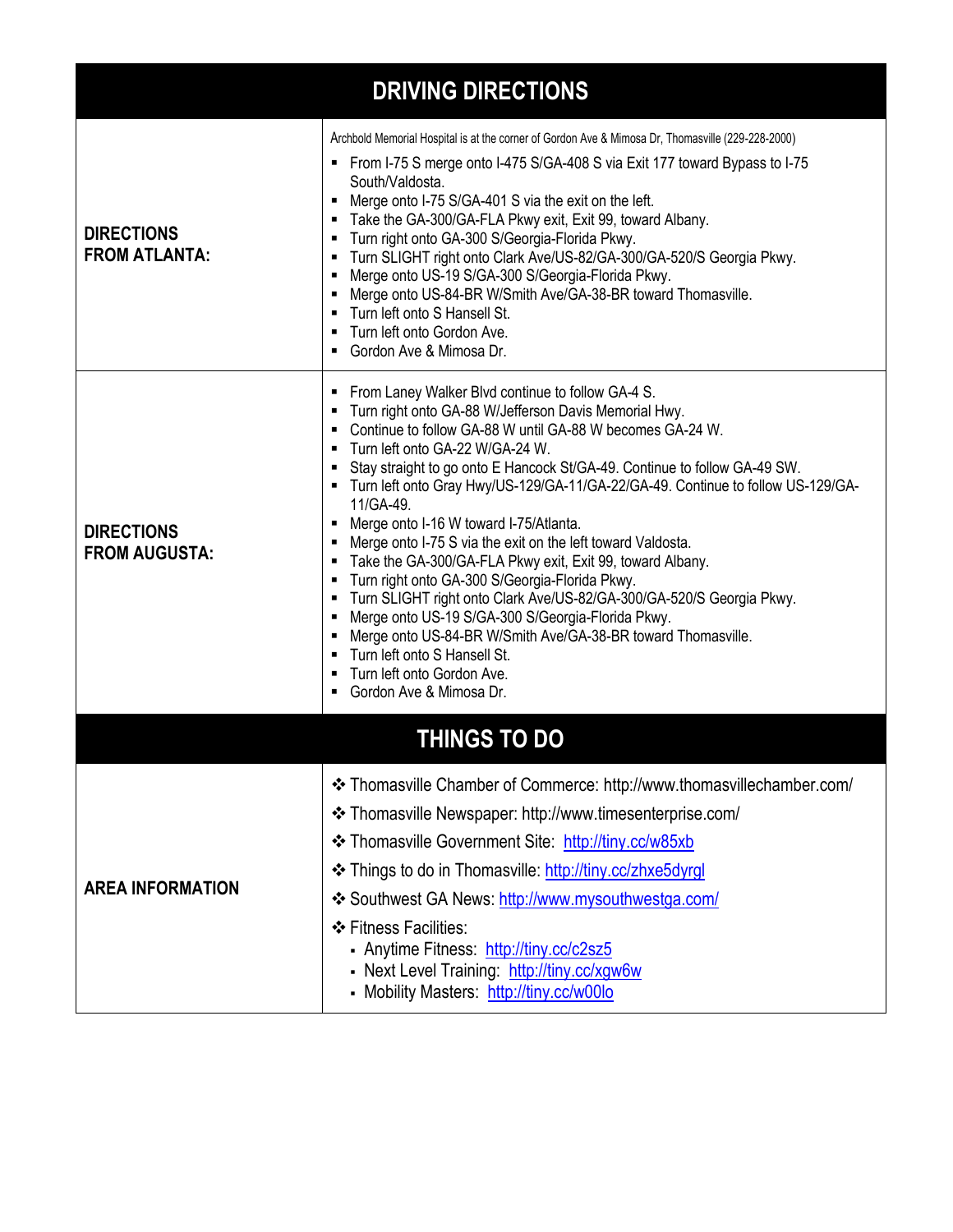| <b>DRIVING DIRECTIONS</b>                 |                                                                                                                                                                                                                                                                                                                                                                                                                                                                                                                                                                                                                                                                                                                                                                                                                                                                                                         |  |  |  |
|-------------------------------------------|---------------------------------------------------------------------------------------------------------------------------------------------------------------------------------------------------------------------------------------------------------------------------------------------------------------------------------------------------------------------------------------------------------------------------------------------------------------------------------------------------------------------------------------------------------------------------------------------------------------------------------------------------------------------------------------------------------------------------------------------------------------------------------------------------------------------------------------------------------------------------------------------------------|--|--|--|
| <b>DIRECTIONS</b><br><b>FROM ATLANTA:</b> | Archbold Memorial Hospital is at the corner of Gordon Ave & Mimosa Dr, Thomasville (229-228-2000)<br>• From I-75 S merge onto I-475 S/GA-408 S via Exit 177 toward Bypass to I-75<br>South/Valdosta.<br>Merge onto I-75 S/GA-401 S via the exit on the left.<br>Take the GA-300/GA-FLA Pkwy exit, Exit 99, toward Albany.<br>Turn right onto GA-300 S/Georgia-Florida Pkwy.<br>Turn SLIGHT right onto Clark Ave/US-82/GA-300/GA-520/S Georgia Pkwy.<br>Merge onto US-19 S/GA-300 S/Georgia-Florida Pkwy.<br>Merge onto US-84-BR W/Smith Ave/GA-38-BR toward Thomasville.<br>" Turn left onto S Hansell St.<br>■ Turn left onto Gordon Ave.<br>Gordon Ave & Mimosa Dr.                                                                                                                                                                                                                                   |  |  |  |
| <b>DIRECTIONS</b><br><b>FROM AUGUSTA:</b> | From Laney Walker Blvd continue to follow GA-4 S.<br>Turn right onto GA-88 W/Jefferson Davis Memorial Hwy.<br>Continue to follow GA-88 W until GA-88 W becomes GA-24 W.<br>Turn left onto GA-22 W/GA-24 W.<br>Stay straight to go onto E Hancock St/GA-49. Continue to follow GA-49 SW.<br>■ Turn left onto Gray Hwy/US-129/GA-11/GA-22/GA-49. Continue to follow US-129/GA-<br>11/GA-49.<br>Merge onto I-16 W toward I-75/Atlanta.<br>Merge onto I-75 S via the exit on the left toward Valdosta.<br>Take the GA-300/GA-FLA Pkwy exit, Exit 99, toward Albany.<br>Turn right onto GA-300 S/Georgia-Florida Pkwy.<br>Turn SLIGHT right onto Clark Ave/US-82/GA-300/GA-520/S Georgia Pkwy.<br>Merge onto US-19 S/GA-300 S/Georgia-Florida Pkwy.<br>Merge onto US-84-BR W/Smith Ave/GA-38-BR toward Thomasville.<br>Turn left onto S Hansell St.<br>Turn left onto Gordon Ave.<br>Gordon Ave & Mimosa Dr. |  |  |  |
| <b>THINGS TO DO</b>                       |                                                                                                                                                                                                                                                                                                                                                                                                                                                                                                                                                                                                                                                                                                                                                                                                                                                                                                         |  |  |  |
| <b>AREA INFORMATION</b>                   | ❖ Thomasville Chamber of Commerce: http://www.thomasvillechamber.com/<br>❖ Thomasville Newspaper: http://www.timesenterprise.com/<br>❖ Thomasville Government Site: http://tiny.cc/w85xb<br>❖ Things to do in Thomasville: http://tiny.cc/zhxe5dyrgl<br>❖ Southwest GA News: http://www.mysouthwestga.com/<br>❖ Fitness Facilities:<br>- Anytime Fitness: http://tiny.cc/c2sz5<br>- Next Level Training: http://tiny.cc/xgw6w<br>- Mobility Masters: http://tiny.cc/w00lo                                                                                                                                                                                                                                                                                                                                                                                                                               |  |  |  |